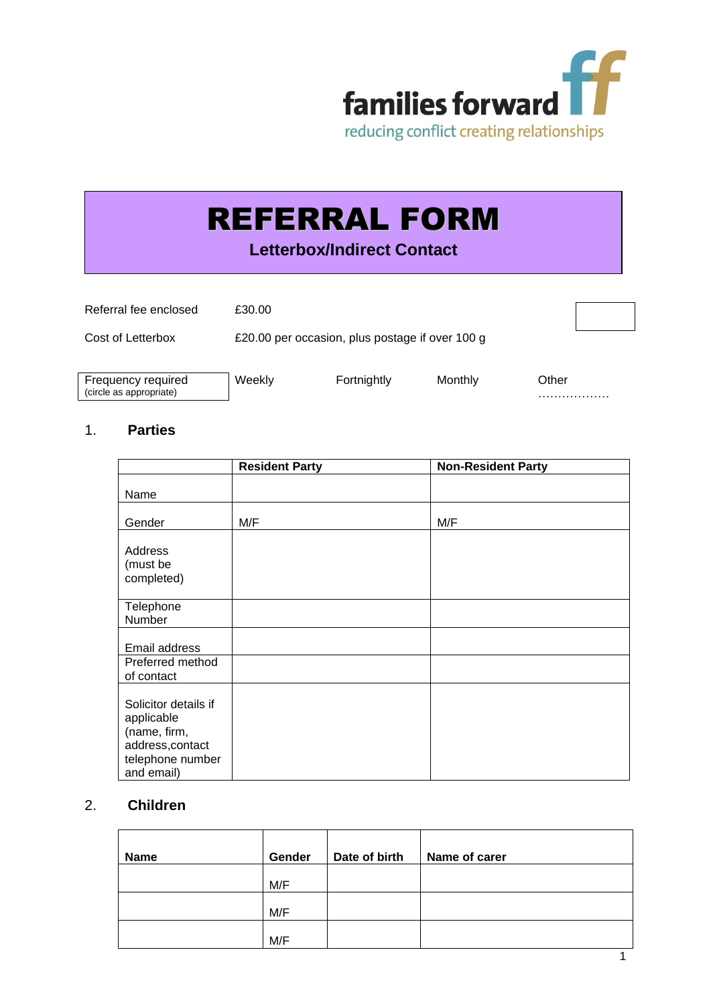

# REFERRAL FORM

**Letterbox/Indirect Contact**

| Referral fee enclosed                         | £30.00                                          |             |         |            |
|-----------------------------------------------|-------------------------------------------------|-------------|---------|------------|
| Cost of Letterbox                             | £20.00 per occasion, plus postage if over 100 g |             |         |            |
| Frequency required<br>(circle as appropriate) | Weekly                                          | Fortnightly | Monthly | Other<br>. |

# 1. **Parties**

|                                                                                                          | <b>Resident Party</b> | <b>Non-Resident Party</b> |
|----------------------------------------------------------------------------------------------------------|-----------------------|---------------------------|
| Name                                                                                                     |                       |                           |
| Gender                                                                                                   | M/F                   | M/F                       |
| Address<br>(must be<br>completed)                                                                        |                       |                           |
| Telephone<br>Number                                                                                      |                       |                           |
| Email address                                                                                            |                       |                           |
| Preferred method<br>of contact                                                                           |                       |                           |
| Solicitor details if<br>applicable<br>(name, firm,<br>address, contact<br>telephone number<br>and email) |                       |                           |

# 2. **Children**

| <b>Name</b> | Gender | Date of birth | Name of carer |  |
|-------------|--------|---------------|---------------|--|
|             |        |               |               |  |
|             | M/F    |               |               |  |
|             |        |               |               |  |
|             | M/F    |               |               |  |
|             |        |               |               |  |
|             | M/F    |               |               |  |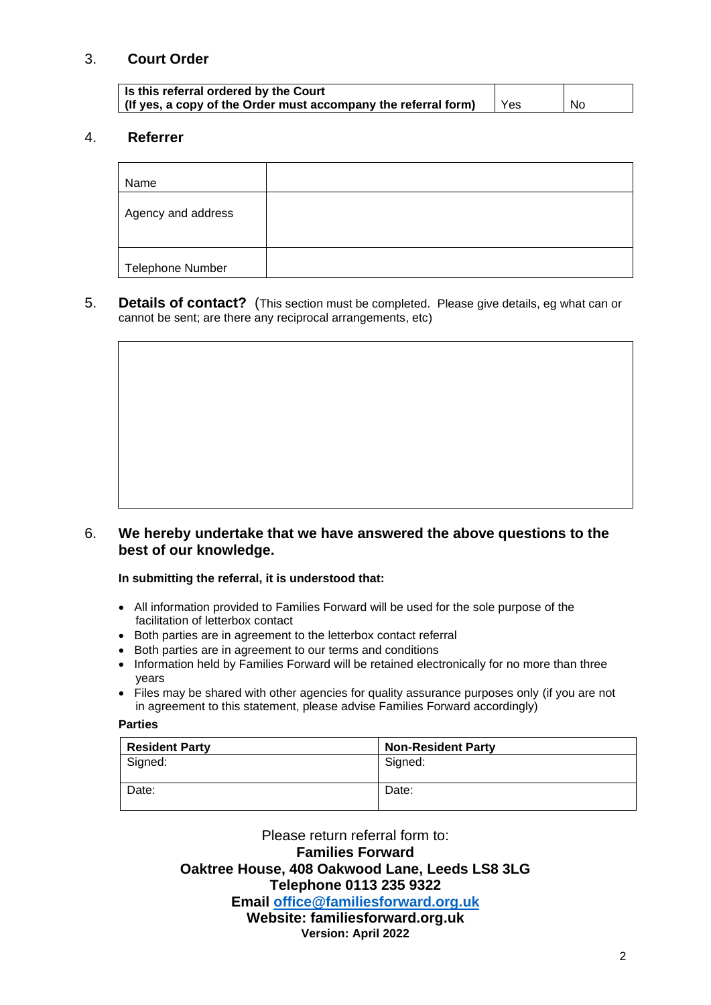## 3. **Court Order**

| Is this referral ordered by the Court                          |     |     |
|----------------------------------------------------------------|-----|-----|
| (If yes, a copy of the Order must accompany the referral form) | Yes | No. |

# 4. **Referrer**

| Name                    |  |
|-------------------------|--|
| Agency and address      |  |
| <b>Telephone Number</b> |  |

5. **Details of contact?** (This section must be completed. Please give details, eg what can or cannot be sent; are there any reciprocal arrangements, etc)

### 6. **We hereby undertake that we have answered the above questions to the best of our knowledge.**

**In submitting the referral, it is understood that:**

- All information provided to Families Forward will be used for the sole purpose of the facilitation of letterbox contact
- Both parties are in agreement to the letterbox contact referral
- Both parties are in agreement to our terms and conditions
- Information held by Families Forward will be retained electronically for no more than three years
- Files may be shared with other agencies for quality assurance purposes only (if you are not in agreement to this statement, please advise Families Forward accordingly)

#### **Parties**

| <b>Resident Party</b> | <b>Non-Resident Party</b> |
|-----------------------|---------------------------|
| Signed:               | Signed:                   |
|                       |                           |
| Date:                 | Date:                     |

Please return referral form to: **Families Forward Oaktree House, 408 Oakwood Lane, Leeds LS8 3LG Telephone 0113 235 9322**

**Email [office@familiesforward.org.uk](mailto:office@familiesforward.org.uk)**

# **Website: familiesforward.org.uk**

**Version: April 2022**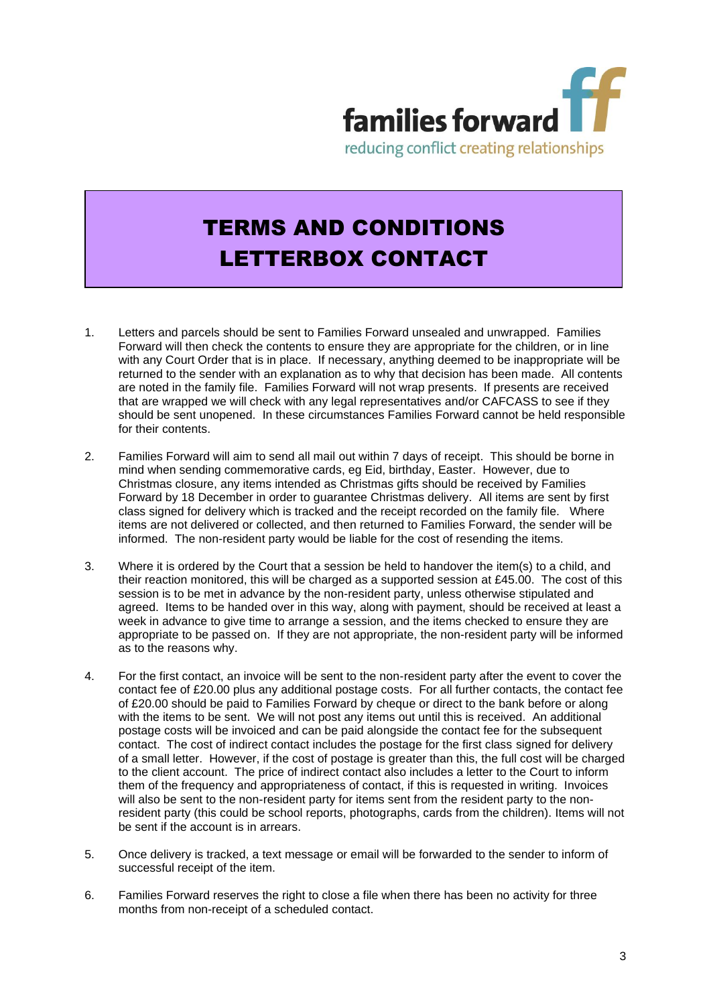

# TERMS AND CONDITIONS LETTERBOX CONTACT

- 1. Letters and parcels should be sent to Families Forward unsealed and unwrapped. Families Forward will then check the contents to ensure they are appropriate for the children, or in line with any Court Order that is in place. If necessary, anything deemed to be inappropriate will be returned to the sender with an explanation as to why that decision has been made. All contents are noted in the family file. Families Forward will not wrap presents. If presents are received that are wrapped we will check with any legal representatives and/or CAFCASS to see if they should be sent unopened. In these circumstances Families Forward cannot be held responsible for their contents.
- 2. Families Forward will aim to send all mail out within 7 days of receipt. This should be borne in mind when sending commemorative cards, eg Eid, birthday, Easter. However, due to Christmas closure, any items intended as Christmas gifts should be received by Families Forward by 18 December in order to guarantee Christmas delivery. All items are sent by first class signed for delivery which is tracked and the receipt recorded on the family file. Where items are not delivered or collected, and then returned to Families Forward, the sender will be informed. The non-resident party would be liable for the cost of resending the items.
- 3. Where it is ordered by the Court that a session be held to handover the item(s) to a child, and their reaction monitored, this will be charged as a supported session at £45.00. The cost of this session is to be met in advance by the non-resident party, unless otherwise stipulated and agreed. Items to be handed over in this way, along with payment, should be received at least a week in advance to give time to arrange a session, and the items checked to ensure they are appropriate to be passed on. If they are not appropriate, the non-resident party will be informed as to the reasons why.
- 4. For the first contact, an invoice will be sent to the non-resident party after the event to cover the contact fee of £20.00 plus any additional postage costs. For all further contacts, the contact fee of £20.00 should be paid to Families Forward by cheque or direct to the bank before or along with the items to be sent. We will not post any items out until this is received. An additional postage costs will be invoiced and can be paid alongside the contact fee for the subsequent contact. The cost of indirect contact includes the postage for the first class signed for delivery of a small letter. However, if the cost of postage is greater than this, the full cost will be charged to the client account. The price of indirect contact also includes a letter to the Court to inform them of the frequency and appropriateness of contact, if this is requested in writing. Invoices will also be sent to the non-resident party for items sent from the resident party to the nonresident party (this could be school reports, photographs, cards from the children). Items will not be sent if the account is in arrears.
- 5. Once delivery is tracked, a text message or email will be forwarded to the sender to inform of successful receipt of the item.
- 6. Families Forward reserves the right to close a file when there has been no activity for three months from non-receipt of a scheduled contact.